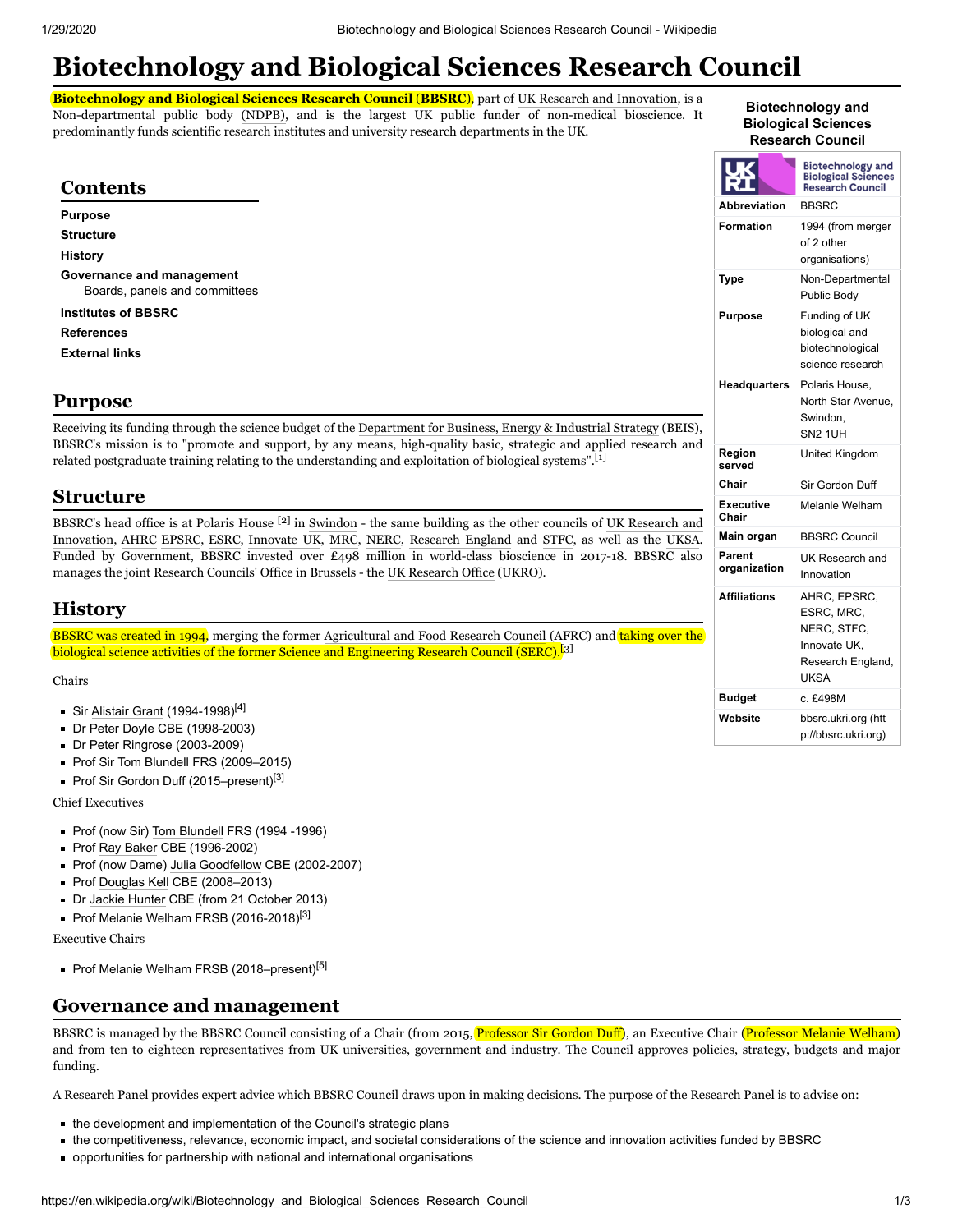# **Biotechnology and Biological Sciences Research Council**

**Biotechnology and Biological Sciences Research Council (BBSRC),** part of [UK Research and Innovation](https://en.wikipedia.org/wiki/UK_Research_and_Innovation), is a Non-departmental public body [\(NDPB\)](https://en.wikipedia.org/wiki/Non-departmental_public_body), and is the largest UK public funder of non-medical bioscience. It predominantly funds [scientific](https://en.wikipedia.org/wiki/Science) research institutes and [university](https://en.wikipedia.org/wiki/University) research departments in the [UK](https://en.wikipedia.org/wiki/United_Kingdom).

#### **Biotechnology and Biological Sciences Research Council**

<span id="page-0-0"></span>

| <b>Contents</b>                                                                                                                                                                                                                                                                                                                                   |                           | <b>Biotechnology and</b><br><b>Biological Sciences</b><br><b>Research Council</b> |
|---------------------------------------------------------------------------------------------------------------------------------------------------------------------------------------------------------------------------------------------------------------------------------------------------------------------------------------------------|---------------------------|-----------------------------------------------------------------------------------|
| <b>Purpose</b>                                                                                                                                                                                                                                                                                                                                    | <b>Abbreviation</b>       | <b>BBSRC</b>                                                                      |
| <b>Structure</b><br><b>History</b>                                                                                                                                                                                                                                                                                                                | <b>Formation</b>          | 1994 (from merger<br>of 2 other<br>organisations)                                 |
| Governance and management<br>Boards, panels and committees                                                                                                                                                                                                                                                                                        | <b>Type</b>               | Non-Departmental<br>Public Body                                                   |
| <b>Institutes of BBSRC</b>                                                                                                                                                                                                                                                                                                                        | <b>Purpose</b>            | Funding of UK                                                                     |
| <b>References</b>                                                                                                                                                                                                                                                                                                                                 |                           | biological and                                                                    |
| <b>External links</b>                                                                                                                                                                                                                                                                                                                             |                           | biotechnological<br>science research                                              |
| <b>Purpose</b>                                                                                                                                                                                                                                                                                                                                    | Headquarters              | Polaris House.<br>North Star Avenue,<br>Swindon,                                  |
| Receiving its funding through the science budget of the Department for Business, Energy & Industrial Strategy (BEIS),<br>BBSRC's mission is to "promote and support, by any means, high-quality basic, strategic and applied research and<br>related postgraduate training relating to the understanding and exploitation of biological systems". |                           | <b>SN2 1UH</b>                                                                    |
|                                                                                                                                                                                                                                                                                                                                                   | Region<br>served          | United Kingdom                                                                    |
|                                                                                                                                                                                                                                                                                                                                                   | Chair                     | Sir Gordon Duff                                                                   |
| <b>Structure</b>                                                                                                                                                                                                                                                                                                                                  | <b>Executive</b><br>Chair | Melanie Welham                                                                    |
| BBSRC's head office is at Polaris House <sup>[2]</sup> in Swindon - the same building as the other councils of UK Research and<br>Innovation, AHRC EPSRC, ESRC, Innovate UK, MRC, NERC, Research England and STFC, as well as the UKSA.                                                                                                           | Main organ                | <b>BBSRC Council</b>                                                              |
| Funded by Government, BBSRC invested over £498 million in world-class bioscience in 2017-18. BBSRC also<br>manages the joint Research Councils' Office in Brussels - the UK Research Office (UKRO).                                                                                                                                               | Parent<br>organization    | UK Research and<br>Innovation                                                     |
| <b>History</b>                                                                                                                                                                                                                                                                                                                                    | <b>Affiliations</b>       | AHRC, EPSRC,<br>ESRC, MRC,                                                        |
| <b>BBSRC</b> was created in 1994, merging the former Agricultural and Food Research Council (AFRC) and taking over the                                                                                                                                                                                                                            |                           | NERC, STFC,                                                                       |
| biological science activities of the former Science and Engineering Research Council (SERC). <sup>[3]</sup>                                                                                                                                                                                                                                       |                           | Innovate UK,<br>Research England,<br><b>UKSA</b>                                  |
| Chairs                                                                                                                                                                                                                                                                                                                                            | <b>Budget</b>             | c. £498M                                                                          |
| Sir Alistair Grant (1994-1998) <sup>[4]</sup><br>Dr Peter Doyle CBE (1998-2003)                                                                                                                                                                                                                                                                   | Website                   | bbsrc.ukri.org (htt<br>p://bbsrc.ukri.org)                                        |

- <span id="page-0-2"></span><span id="page-0-1"></span>Dr Peter Ringrose (2003-2009)
- Prof Sir [Tom Blundell](https://en.wikipedia.org/wiki/Tom_Blundell) FRS (2009-2015)
- Prof Sir [Gordon Duff](https://en.wikipedia.org/wiki/Gordon_Duff) (2015–present)<sup>[\[3\]](#page-1-6)</sup>

Chief Executives

- Prof (now Sir) [Tom Blundell](https://en.wikipedia.org/wiki/Tom_Blundell) FRS (1994 -1996)
- Prof [Ray Baker](https://en.wikipedia.org/wiki/Raymond_Baker_(chemist)) CBE (1996-2002)
- Prof (now Dame) [Julia Goodfellow](https://en.wikipedia.org/wiki/Julia_Goodfellow) CBE (2002-2007)
- Prof [Douglas Kell](https://en.wikipedia.org/wiki/Douglas_Kell) CBE (2008-2013)
- Dr [Jackie Hunter](https://en.wikipedia.org/wiki/Jackie_Hunter) CBE (from 21 October 2013)
- Prof Melanie Welham FRSB (2016-2018)<sup>[\[3\]](#page-1-6)</sup>

Executive Chairs

Prof Melanie Welham FRSB (2018–present)<sup>[\[5\]](#page-1-8)</sup>

# <span id="page-0-3"></span>**Governance and management**

BBSRC is managed by the BBSRC Council consisting of a Chair (from 2015, Professor Sir [Gordon Duff](https://en.wikipedia.org/wiki/Gordon_Duff)), an Executive Chair (Professor Melanie Welham) and from ten to eighteen representatives from UK universities, government and industry. The Council approves policies, strategy, budgets and major funding.

A Research Panel provides expert advice which BBSRC Council draws upon in making decisions. The purpose of the Research Panel is to advise on:

- the development and implementation of the Council's strategic plans
- the competitiveness, relevance, economic impact, and societal considerations of the science and innovation activities funded by BBSRC
- opportunities for partnership with national and international organisations